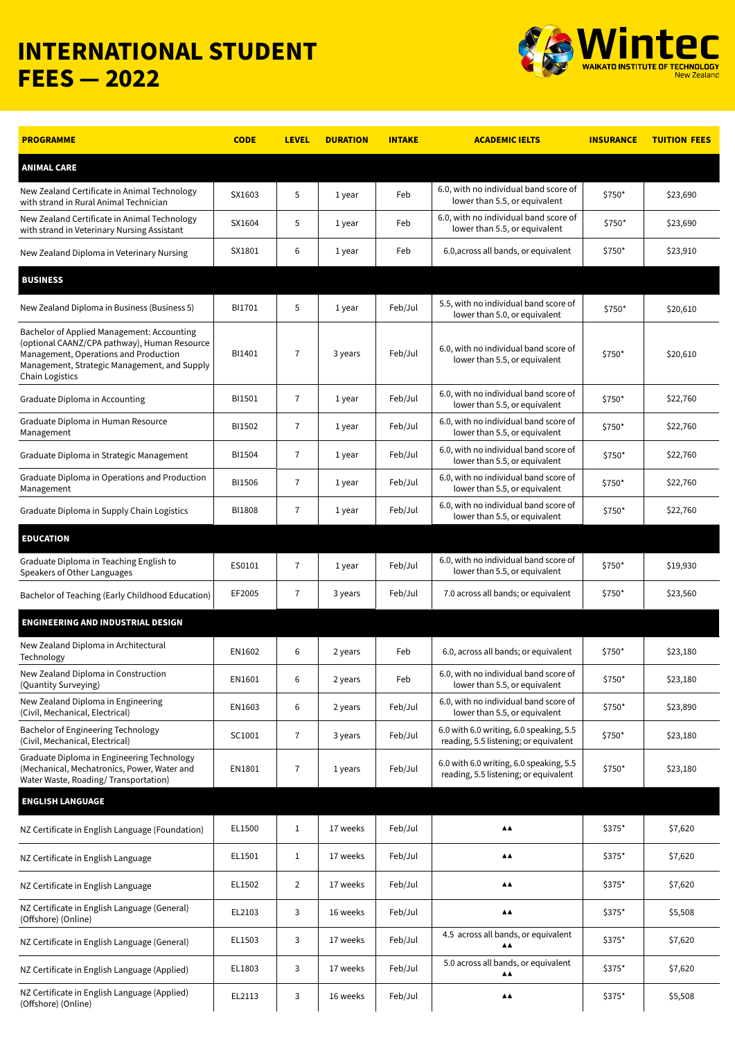## **INTERNATIONAL STUDENT FEES — 2022**



| <b>PROGRAMME</b>                                                                                                                                                                                              | <b>CODE</b>   | <b>LEVEL</b>   | <b>DURATION</b> | <b>INTAKE</b> | <b>ACADEMIC IELTS</b>                                                            | <b>INSURANCE</b> | <b>TUITION FEES</b> |
|---------------------------------------------------------------------------------------------------------------------------------------------------------------------------------------------------------------|---------------|----------------|-----------------|---------------|----------------------------------------------------------------------------------|------------------|---------------------|
| <b>ANIMAL CARE</b>                                                                                                                                                                                            |               |                |                 |               |                                                                                  |                  |                     |
| New Zealand Certificate in Animal Technology<br>with strand in Rural Animal Technician                                                                                                                        | SX1603        | 5              | 1 year          | Feb           | 6.0, with no individual band score of<br>lower than 5.5, or equivalent           | \$750*           | \$23,690            |
| New Zealand Certificate in Animal Technology<br>with strand in Veterinary Nursing Assistant                                                                                                                   | SX1604        | 5              | 1 year          | Feb           | 6.0, with no individual band score of<br>lower than 5.5, or equivalent           | \$750*           | \$23,690            |
| New Zealand Diploma in Veterinary Nursing                                                                                                                                                                     | SX1801        | 6              | 1 year          | Feb           | 6.0, across all bands, or equivalent                                             | \$750*           | \$23,910            |
| <b>BUSINESS</b>                                                                                                                                                                                               |               |                |                 |               |                                                                                  |                  |                     |
| New Zealand Diploma in Business (Business 5)                                                                                                                                                                  | BI1701        | 5              | 1 year          | Feb/Jul       | 5.5, with no individual band score of<br>lower than 5.0, or equivalent           | \$750*           | \$20,610            |
| Bachelor of Applied Management: Accounting<br>(optional CAANZ/CPA pathway), Human Resource<br>Management, Operations and Production<br>Management, Strategic Management, and Supply<br><b>Chain Logistics</b> | BI1401        | $\overline{7}$ | 3 years         | Feb/Jul       | 6.0, with no individual band score of<br>lower than 5.5, or equivalent           | \$750*           | \$20,610            |
| Graduate Diploma in Accounting                                                                                                                                                                                | BI1501        | $\overline{7}$ | 1 year          | Feb/Jul       | 6.0, with no individual band score of<br>lower than 5.5, or equivalent           | \$750*           | \$22,760            |
| Graduate Diploma in Human Resource<br>Management                                                                                                                                                              | BI1502        | $\overline{7}$ | 1 year          | Feb/Jul       | 6.0, with no individual band score of<br>lower than 5.5, or equivalent           | \$750*           | \$22,760            |
| Graduate Diploma in Strategic Management                                                                                                                                                                      | BI1504        | $\overline{7}$ | 1 year          | Feb/Jul       | 6.0, with no individual band score of<br>lower than 5.5, or equivalent           | \$750*           | \$22,760            |
| Graduate Diploma in Operations and Production<br>Management                                                                                                                                                   | BI1506        | $\overline{7}$ | 1 year          | Feb/Jul       | 6.0, with no individual band score of<br>lower than 5.5, or equivalent           | \$750*           | \$22,760            |
| Graduate Diploma in Supply Chain Logistics                                                                                                                                                                    | <b>BI1808</b> | 7              | 1 year          | Feb/Jul       | 6.0, with no individual band score of<br>lower than 5.5, or equivalent           | \$750*           | \$22,760            |
| <b>EDUCATION</b>                                                                                                                                                                                              |               |                |                 |               |                                                                                  |                  |                     |
| Graduate Diploma in Teaching English to<br>Speakers of Other Languages                                                                                                                                        | ES0101        | $\overline{7}$ | 1 year          | Feb/Jul       | 6.0, with no individual band score of<br>lower than 5.5, or equivalent           | \$750*           | \$19,930            |
| Bachelor of Teaching (Early Childhood Education)                                                                                                                                                              | EF2005        | 7              | 3 years         | Feb/Jul       | 7.0 across all bands; or equivalent                                              | \$750*           | \$23,560            |
| <b>ENGINEERING AND INDUSTRIAL DESIGN</b>                                                                                                                                                                      |               |                |                 |               |                                                                                  |                  |                     |
| New Zealand Diploma in Architectural<br>Technology                                                                                                                                                            | EN1602        | 6              | 2 years         | Feb           | 6.0, across all bands; or equivalent                                             | \$750*           | \$23,180            |
| New Zealand Diploma in Construction<br>(Quantity Surveying)                                                                                                                                                   | EN1601        | 6              | 2 years         | Feb           | 6.0, with no individual band score of<br>lower than 5.5, or equivalent           | \$750*           | \$23,180            |
| New Zealand Diploma in Engineering<br>(Civil, Mechanical, Electrical)                                                                                                                                         | EN1603        | 6              | 2 years         | Feb/Jul       | 6.0, with no individual band score of<br>lower than 5.5, or equivalent           | \$750*           | \$23,890            |
| Bachelor of Engineering Technology<br>(Civil, Mechanical, Electrical)                                                                                                                                         | SC1001        | $\overline{7}$ | 3 years         | Feb/Jul       | 6.0 with 6.0 writing, 6.0 speaking, 5.5<br>reading, 5.5 listening; or equivalent | \$750*           | \$23,180            |
| Graduate Diploma in Engineering Technology<br>(Mechanical, Mechatronics, Power, Water and<br>Water Waste, Roading/Transportation)                                                                             | EN1801        | $\overline{7}$ | 1 years         | Feb/Jul       | 6.0 with 6.0 writing, 6.0 speaking, 5.5<br>reading, 5.5 listening; or equivalent | \$750*           | \$23,180            |
| <b>ENGLISH LANGUAGE</b>                                                                                                                                                                                       |               |                |                 |               |                                                                                  |                  |                     |
| NZ Certificate in English Language (Foundation)                                                                                                                                                               | EL1500        | $\mathbf{1}$   | 17 weeks        | Feb/Jul       | $\blacktriangle \blacktriangle$                                                  | \$375*           | \$7,620             |
| NZ Certificate in English Language                                                                                                                                                                            | EL1501        | $\mathbf{1}$   | 17 weeks        | Feb/Jul       | $\blacktriangle\blacktriangle$                                                   | \$375*           | \$7,620             |
| NZ Certificate in English Language                                                                                                                                                                            | EL1502        | $\overline{2}$ | 17 weeks        | Feb/Jul       | $\blacktriangle\blacktriangle$                                                   | \$375*           | \$7,620             |
| NZ Certificate in English Language (General)<br>(Offshore) (Online)                                                                                                                                           | EL2103        | 3              | 16 weeks        | Feb/Jul       | $\blacktriangle\blacktriangle$                                                   | \$375*           | \$5,508             |
| NZ Certificate in English Language (General)                                                                                                                                                                  | EL1503        | 3              | 17 weeks        | Feb/Jul       | 4.5 across all bands, or equivalent<br>▲▲                                        | \$375*           | \$7,620             |
| NZ Certificate in English Language (Applied)                                                                                                                                                                  | EL1803        | 3              | 17 weeks        | Feb/Jul       | 5.0 across all bands, or equivalent<br>$\blacktriangle \blacktriangle$           | \$375*           | \$7,620             |
| NZ Certificate in English Language (Applied)<br>(Offshore) (Online)                                                                                                                                           | EL2113        | 3              | 16 weeks        | Feb/Jul       | ▲▲                                                                               | \$375*           | \$5,508             |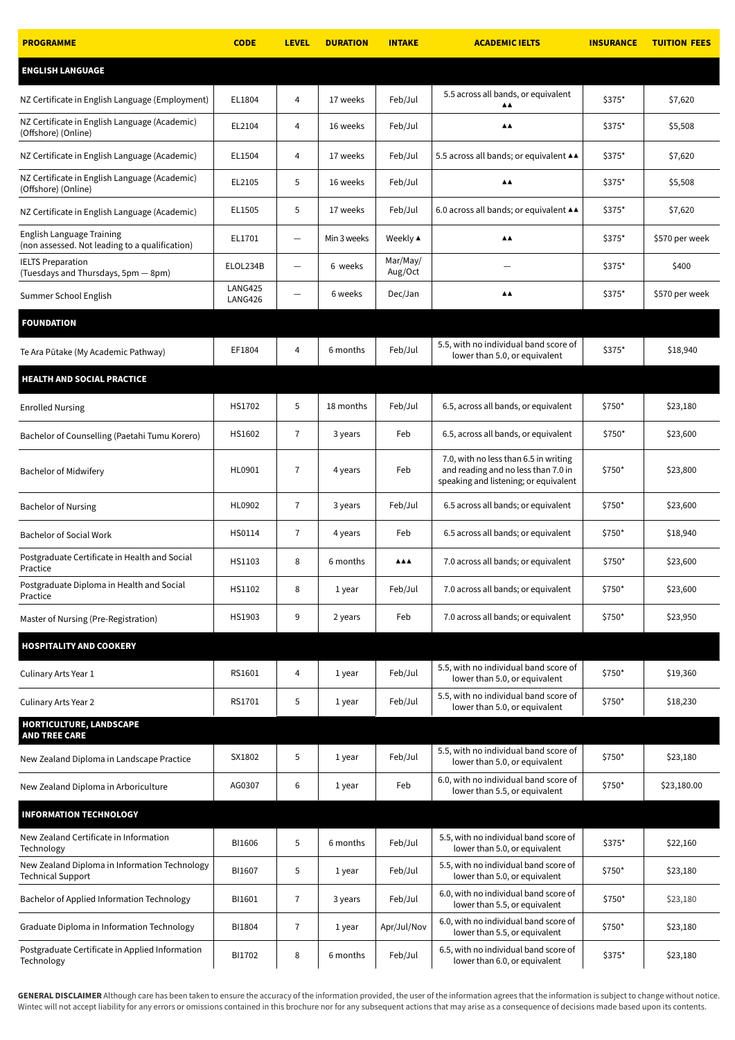| <b>PROGRAMME</b>                                                            | <b>CODE</b>               | <b>LEVEL</b>      | <b>DURATION</b> | <b>INTAKE</b>       | <b>ACADEMIC IELTS</b>                                                                                                 | <b>INSURANCE</b> | <b>TUITION FEES</b> |
|-----------------------------------------------------------------------------|---------------------------|-------------------|-----------------|---------------------|-----------------------------------------------------------------------------------------------------------------------|------------------|---------------------|
| <b>ENGLISH LANGUAGE</b>                                                     |                           |                   |                 |                     |                                                                                                                       |                  |                     |
| NZ Certificate in English Language (Employment)                             | EL1804                    | $\overline{4}$    | 17 weeks        | Feb/Jul             | 5.5 across all bands, or equivalent<br>▲▲                                                                             | \$375*           | \$7,620             |
| NZ Certificate in English Language (Academic)<br>(Offshore) (Online)        | EL2104                    | 4                 | 16 weeks        | Feb/Jul             | ▲▲                                                                                                                    | \$375*           | \$5,508             |
| NZ Certificate in English Language (Academic)                               | EL1504                    | 4                 | 17 weeks        | Feb/Jul             | 5.5 across all bands; or equivalent $\triangle\blacktriangle$                                                         | \$375*           | \$7,620             |
| NZ Certificate in English Language (Academic)<br>(Offshore) (Online)        | EL2105                    | 5                 | 16 weeks        | Feb/Jul             | $\triangle \triangle$                                                                                                 | \$375*           | \$5,508             |
| NZ Certificate in English Language (Academic)                               | EL1505                    | 5                 | 17 weeks        | Feb/Jul             | 6.0 across all bands; or equivalent ▲▲                                                                                | \$375*           | \$7,620             |
| English Language Training<br>(non assessed. Not leading to a qualification) | EL1701                    | $\qquad \qquad -$ | Min 3 weeks     | Weekly ▲            | $\triangle \triangle$                                                                                                 | \$375*           | \$570 per week      |
| <b>IELTS Preparation</b><br>(Tuesdays and Thursdays, 5pm - 8pm)             | ELOL234B                  | $\qquad \qquad -$ | 6 weeks         | Mar/May/<br>Aug/Oct |                                                                                                                       | \$375*           | \$400               |
| Summer School English                                                       | <b>LANG425</b><br>LANG426 | —                 | 6 weeks         | Dec/Jan             | ▲▲                                                                                                                    | \$375*           | \$570 per week      |
| <b>FOUNDATION</b>                                                           |                           |                   |                 |                     |                                                                                                                       |                  |                     |
| Te Ara Pūtake (My Academic Pathway)                                         | EF1804                    | 4                 | 6 months        | Feb/Jul             | 5.5, with no individual band score of<br>lower than 5.0, or equivalent                                                | \$375*           | \$18,940            |
| <b>HEALTH AND SOCIAL PRACTICE</b>                                           |                           |                   |                 |                     |                                                                                                                       |                  |                     |
| <b>Enrolled Nursing</b>                                                     | HS1702                    | 5                 | 18 months       | Feb/Jul             | 6.5, across all bands, or equivalent                                                                                  | \$750*           | \$23,180            |
| Bachelor of Counselling (Paetahi Tumu Korero)                               | HS1602                    | 7                 | 3 years         | Feb                 | 6.5, across all bands, or equivalent                                                                                  | \$750*           | \$23,600            |
| <b>Bachelor of Midwifery</b>                                                | HL0901                    | 7                 | 4 years         | Feb                 | 7.0, with no less than 6.5 in writing<br>and reading and no less than 7.0 in<br>speaking and listening; or equivalent | \$750*           | \$23,800            |
| <b>Bachelor of Nursing</b>                                                  | HL0902                    | $\overline{7}$    | 3 years         | Feb/Jul             | 6.5 across all bands; or equivalent                                                                                   | \$750*           | \$23,600            |
| <b>Bachelor of Social Work</b>                                              | HS0114                    | 7                 | 4 years         | Feb                 | 6.5 across all bands; or equivalent                                                                                   | \$750*           | \$18,940            |
| Postgraduate Certificate in Health and Social<br>Practice                   | HS1103                    | 8                 | 6 months        | <b>AAA</b>          | 7.0 across all bands; or equivalent                                                                                   | \$750*           | \$23,600            |
| Postgraduate Diploma in Health and Social<br>Practice                       | HS1102                    | 8                 | 1 year          | Feb/Jul             | 7.0 across all bands; or equivalent                                                                                   | \$750*           | \$23,600            |
| Master of Nursing (Pre-Registration)                                        | HS1903                    | 9                 | 2 years         | Feb                 | 7.0 across all bands; or equivalent                                                                                   | \$750*           | \$23,950            |
| <b>HOSPITALITY AND COOKERY</b>                                              |                           |                   |                 |                     |                                                                                                                       |                  |                     |
| Culinary Arts Year 1                                                        | RS1601                    | 4                 | 1 year          | Feb/Jul             | 5.5, with no individual band score of<br>lower than 5.0, or equivalent                                                | \$750*           | \$19,360            |
| Culinary Arts Year 2                                                        | RS1701                    | 5                 | 1 year          | Feb/Jul             | 5.5, with no individual band score of<br>lower than 5.0, or equivalent                                                | \$750*           | \$18,230            |
| HORTICULTURE, LANDSCAPE<br><b>AND TREE CARE</b>                             |                           |                   |                 |                     |                                                                                                                       |                  |                     |
| New Zealand Diploma in Landscape Practice                                   | SX1802                    | 5                 | 1 year          | Feb/Jul             | 5.5, with no individual band score of<br>lower than 5.0, or equivalent                                                | \$750*           | \$23,180            |
| New Zealand Diploma in Arboriculture                                        | AG0307                    | 6                 | 1 year          | Feb                 | 6.0, with no individual band score of<br>lower than 5.5, or equivalent                                                | \$750*           | \$23,180.00         |
| <b>INFORMATION TECHNOLOGY</b>                                               |                           |                   |                 |                     |                                                                                                                       |                  |                     |
| New Zealand Certificate in Information<br>Technology                        | BI1606                    | 5                 | 6 months        | Feb/Jul             | 5.5, with no individual band score of<br>lower than 5.0, or equivalent                                                | \$375*           | \$22,160            |
| New Zealand Diploma in Information Technology<br>Technical Support          | BI1607                    | 5                 | 1 year          | Feb/Jul             | 5.5, with no individual band score of<br>lower than 5.0, or equivalent                                                | \$750*           | \$23,180            |
| Bachelor of Applied Information Technology                                  | BI1601                    | $\overline{7}$    | 3 years         | Feb/Jul             | 6.0, with no individual band score of<br>lower than 5.5, or equivalent                                                | \$750*           | \$23,180            |
| Graduate Diploma in Information Technology                                  | BI1804                    | 7                 | 1 year          | Apr/Jul/Nov         | 6.0, with no individual band score of<br>lower than 5.5, or equivalent                                                | \$750*           | \$23,180            |
| Postgraduate Certificate in Applied Information<br>Technology               | BI1702                    | 8                 | 6 months        | Feb/Jul             | 6.5, with no individual band score of<br>lower than 6.0, or equivalent                                                | \$375*           | \$23,180            |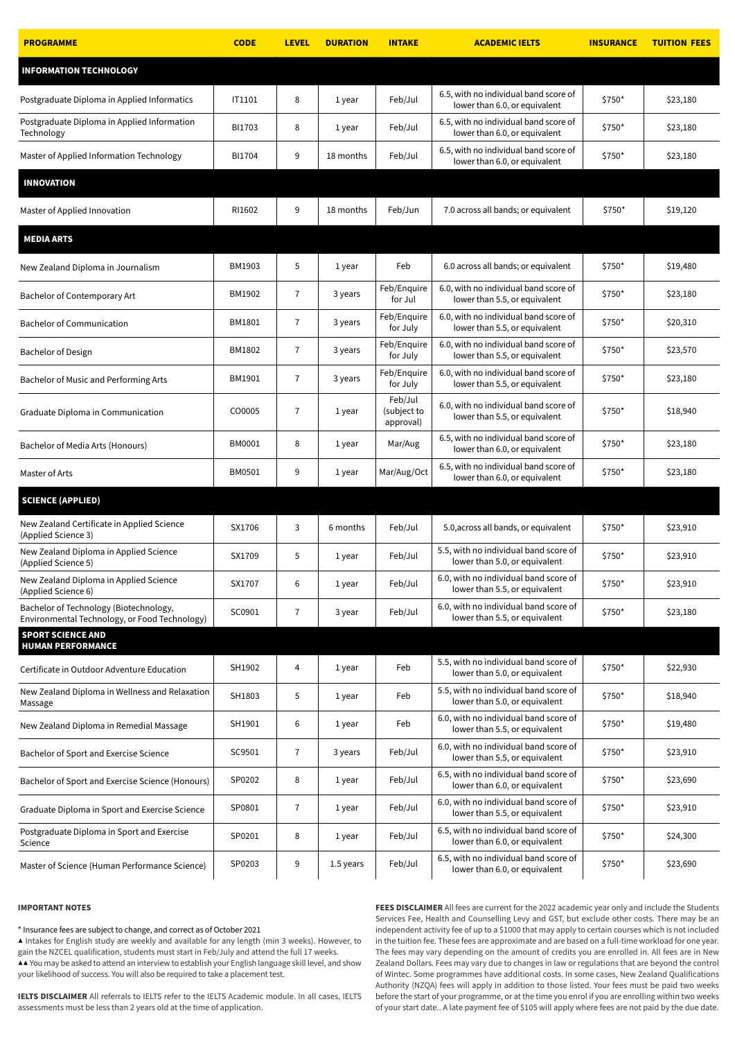| <b>PROGRAMME</b>                                                                        | <b>CODE</b> | <b>LEVEL</b>   | <b>DURATION</b> | <b>INTAKE</b>                       | <b>ACADEMIC IELTS</b>                                                  | <b>INSURANCE</b> | <b>TUITION FEES</b> |
|-----------------------------------------------------------------------------------------|-------------|----------------|-----------------|-------------------------------------|------------------------------------------------------------------------|------------------|---------------------|
| <b>INFORMATION TECHNOLOGY</b>                                                           |             |                |                 |                                     |                                                                        |                  |                     |
| Postgraduate Diploma in Applied Informatics                                             | IT1101      | 8              | 1 year          | Feb/Jul                             | 6.5, with no individual band score of<br>lower than 6.0, or equivalent | \$750*           | \$23,180            |
| Postgraduate Diploma in Applied Information<br>Technology                               | BI1703      | 8              | 1 year          | Feb/Jul                             | 6.5, with no individual band score of<br>lower than 6.0, or equivalent | \$750*           | \$23,180            |
| Master of Applied Information Technology                                                | BI1704      | 9              | 18 months       | Feb/Jul                             | 6.5, with no individual band score of<br>lower than 6.0, or equivalent | \$750*           | \$23,180            |
| <b>INNOVATION</b>                                                                       |             |                |                 |                                     |                                                                        |                  |                     |
| Master of Applied Innovation                                                            | RI1602      | 9              | 18 months       | Feb/Jun                             | 7.0 across all bands; or equivalent                                    | \$750*           | \$19,120            |
| <b>MEDIA ARTS</b>                                                                       |             |                |                 |                                     |                                                                        |                  |                     |
| New Zealand Diploma in Journalism                                                       | BM1903      | 5              | 1 year          | Feb                                 | 6.0 across all bands; or equivalent                                    | $$750*$          | \$19,480            |
| Bachelor of Contemporary Art                                                            | BM1902      | $\overline{7}$ | 3 years         | Feb/Enquire<br>for Jul              | 6.0, with no individual band score of<br>lower than 5.5, or equivalent | \$750*           | \$23,180            |
| <b>Bachelor of Communication</b>                                                        | BM1801      | 7              | 3 years         | Feb/Enquire<br>for July             | 6.0, with no individual band score of<br>lower than 5.5, or equivalent | \$750*           | \$20,310            |
| <b>Bachelor of Design</b>                                                               | BM1802      | 7              | 3 years         | Feb/Enquire<br>for July             | 6.0, with no individual band score of<br>lower than 5.5, or equivalent | \$750*           | \$23,570            |
| Bachelor of Music and Performing Arts                                                   | BM1901      | $\overline{7}$ | 3 years         | Feb/Enguire<br>for July             | 6.0, with no individual band score of<br>lower than 5.5, or equivalent | $$750*$          | \$23,180            |
| Graduate Diploma in Communication                                                       | CO0005      | 7              | 1 year          | Feb/Jul<br>(subject to<br>approval) | 6.0, with no individual band score of<br>lower than 5.5, or equivalent | \$750*           | \$18,940            |
| Bachelor of Media Arts (Honours)                                                        | BM0001      | 8              | 1 year          | Mar/Aug                             | 6.5, with no individual band score of<br>lower than 6.0, or equivalent | $$750*$          | \$23,180            |
| Master of Arts                                                                          | BM0501      | 9              | 1 year          | Mar/Aug/Oct                         | 6.5, with no individual band score of<br>lower than 6.0, or equivalent | \$750*           | \$23,180            |
| <b>SCIENCE (APPLIED)</b>                                                                |             |                |                 |                                     |                                                                        |                  |                     |
| New Zealand Certificate in Applied Science<br>(Applied Science 3)                       | SX1706      | 3              | 6 months        | Feb/Jul                             | 5.0, across all bands, or equivalent                                   | $$750*$          | \$23,910            |
| New Zealand Diploma in Applied Science<br>(Applied Science 5)                           | SX1709      | 5              | 1 year          | Feb/Jul                             | 5.5, with no individual band score of<br>lower than 5.0, or equivalent | \$750*           | \$23,910            |
| New Zealand Diploma in Applied Science<br>(Applied Science 6)                           | SX1707      | 6              | 1 year          | Feb/Jul                             | 6.0, with no individual band score of<br>lower than 5.5, or equivalent | \$750*           | \$23,910            |
| Bachelor of Technology (Biotechnology,<br>Environmental Technology, or Food Technology) | SC0901      | $\overline{7}$ | 3 year          | Feb/Jul                             | 6.0, with no individual band score of<br>lower than 5.5, or equivalent | \$750*           | \$23,180            |
| <b>SPORT SCIENCE AND</b><br><b>HUMAN PERFORMANCE</b>                                    |             |                |                 |                                     |                                                                        |                  |                     |
| Certificate in Outdoor Adventure Education                                              | SH1902      | 4              | 1 year          | Feb                                 | 5.5, with no individual band score of<br>lower than 5.0, or equivalent | \$750*           | \$22,930            |
| New Zealand Diploma in Wellness and Relaxation<br>Massage                               | SH1803      | 5              | 1 year          | Feb                                 | 5.5, with no individual band score of<br>lower than 5.0, or equivalent | $$750*$          | \$18,940            |
| New Zealand Diploma in Remedial Massage                                                 | SH1901      | 6              | 1 year          | Feb                                 | 6.0, with no individual band score of<br>lower than 5.5, or equivalent | \$750*           | \$19,480            |
| Bachelor of Sport and Exercise Science                                                  | SC9501      | 7              | 3 years         | Feb/Jul                             | 6.0, with no individual band score of<br>lower than 5.5, or equivalent | \$750*           | \$23,910            |
| Bachelor of Sport and Exercise Science (Honours)                                        | SP0202      | 8              | 1 year          | Feb/Jul                             | 6.5, with no individual band score of<br>lower than 6.0, or equivalent | \$750*           | \$23,690            |
| Graduate Diploma in Sport and Exercise Science                                          | SP0801      | $\overline{7}$ | 1 year          | Feb/Jul                             | 6.0, with no individual band score of<br>lower than 5.5, or equivalent | \$750*           | \$23,910            |
| Postgraduate Diploma in Sport and Exercise<br>Science                                   | SP0201      | 8              | 1 year          | Feb/Jul                             | 6.5, with no individual band score of<br>lower than 6.0, or equivalent | \$750*           | \$24,300            |
| Master of Science (Human Performance Science)                                           | SP0203      | 9              | 1.5 years       | Feb/Jul                             | 6.5, with no individual band score of<br>lower than 6.0, or equivalent | \$750*           | \$23,690            |

## **IMPORTANT NOTES**

\* Insurance fees are subject to change, and correct as of October 2021

▲ Intakes for English study are weekly and available for any length (min 3 weeks). However, to gain the NZCEL qualification, students must start in Feb/July and attend the full 17 weeks. ▲▲ You may be asked to attend an interview to establish your English language skill level, and show your likelihood of success. You will also be required to take a placement test.

**IELTS DISCLAIMER** All referrals to IELTS refer to the IELTS Academic module. In all cases, IELTS assessments must be less than 2 years old at the time of application.

**FEES DISCLAIMER** All fees are current for the 2022 academic year only and include the Students Services Fee, Health and Counselling Levy and GST, but exclude other costs. There may be an independent activity fee of up to a \$1000 that may apply to certain courses which is not included in the tuition fee. These fees are approximate and are based on a full-time workload for one year. The fees may vary depending on the amount of credits you are enrolled in. All fees are in New Zealand Dollars. Fees may vary due to changes in law or regulations that are beyond the control of Wintec. Some programmes have additional costs. In some cases, New Zealand Qualifications Authority (NZQA) fees will apply in addition to those listed. Your fees must be paid two weeks before the start of your programme, or at the time you enrol if you are enrolling within two weeks of your start date.. A late payment fee of \$105 will apply where fees are not paid by the due date.